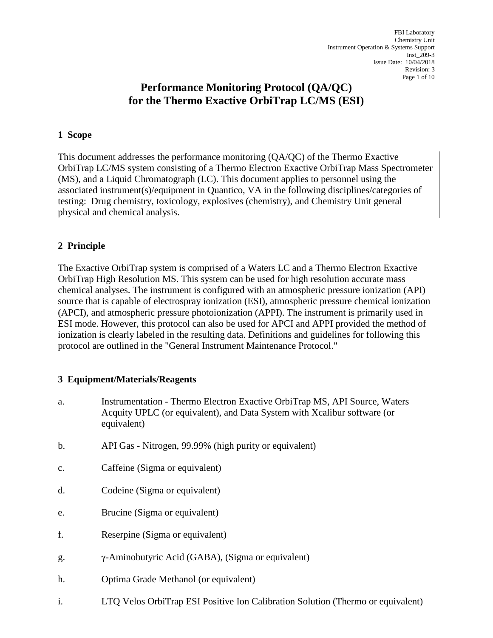# **Performance Monitoring Protocol (QA/QC) for the Thermo Exactive OrbiTrap LC/MS (ESI)**

## **1 Scope**

This document addresses the performance monitoring (QA/QC) of the Thermo Exactive OrbiTrap LC/MS system consisting of a Thermo Electron Exactive OrbiTrap Mass Spectrometer (MS), and a Liquid Chromatograph (LC). This document applies to personnel using the associated instrument(s)/equipment in Quantico, VA in the following disciplines/categories of testing: Drug chemistry, toxicology, explosives (chemistry), and Chemistry Unit general physical and chemical analysis.

# **2 Principle**

The Exactive OrbiTrap system is comprised of a Waters LC and a Thermo Electron Exactive OrbiTrap High Resolution MS. This system can be used for high resolution accurate mass chemical analyses. The instrument is configured with an atmospheric pressure ionization (API) source that is capable of electrospray ionization (ESI), atmospheric pressure chemical ionization (APCI), and atmospheric pressure photoionization (APPI). The instrument is primarily used in ESI mode. However, this protocol can also be used for APCI and APPI provided the method of ionization is clearly labeled in the resulting data. Definitions and guidelines for following this protocol are outlined in the "General Instrument Maintenance Protocol."

### **3 Equipment/Materials/Reagents**

- a. Instrumentation Thermo Electron Exactive OrbiTrap MS, API Source, Waters Acquity UPLC (or equivalent), and Data System with Xcalibur software (or equivalent)
- b. API Gas Nitrogen, 99.99% (high purity or equivalent)
- c. Caffeine (Sigma or equivalent)
- d. Codeine (Sigma or equivalent)
- e. Brucine (Sigma or equivalent)
- f. Reserpine (Sigma or equivalent)
- g. γ-Aminobutyric Acid (GABA), (Sigma or equivalent)
- h. Optima Grade Methanol (or equivalent)
- i. LTQ Velos OrbiTrap ESI Positive Ion Calibration Solution (Thermo or equivalent)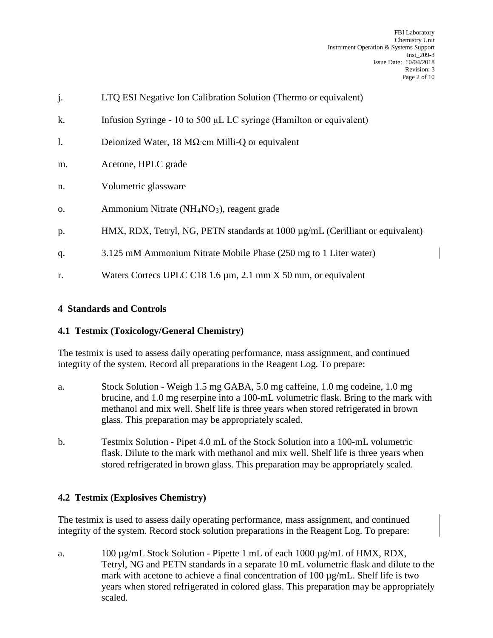| j.             | LTQ ESI Negative Ion Calibration Solution (Thermo or equivalent)                   |
|----------------|------------------------------------------------------------------------------------|
| k.             | Infusion Syringe - 10 to 500 $\mu$ L LC syringe (Hamilton or equivalent)           |
| $\mathbf{1}$ . | Deionized Water, 18 $M\Omega$ cm Milli-Q or equivalent                             |
| m.             | Acetone, HPLC grade                                                                |
| n.             | Volumetric glassware                                                               |
| 0.             | Ammonium Nitrate (NH <sub>4</sub> NO <sub>3</sub> ), reagent grade                 |
| p.             | HMX, RDX, Tetryl, NG, PETN standards at $1000 \mu g/mL$ (Cerilliant or equivalent) |
| q.             | 3.125 mM Ammonium Nitrate Mobile Phase (250 mg to 1 Liter water)                   |
| r.             | Waters Cortecs UPLC C18 1.6 $\mu$ m, 2.1 mm X 50 mm, or equivalent                 |

# **4 Standards and Controls**

# **4.1 Testmix (Toxicology/General Chemistry)**

The testmix is used to assess daily operating performance, mass assignment, and continued integrity of the system. Record all preparations in the Reagent Log. To prepare:

- a. Stock Solution Weigh 1.5 mg GABA, 5.0 mg caffeine, 1.0 mg codeine, 1.0 mg brucine, and 1.0 mg reserpine into a 100-mL volumetric flask. Bring to the mark with methanol and mix well. Shelf life is three years when stored refrigerated in brown glass. This preparation may be appropriately scaled.
- b. Testmix Solution Pipet 4.0 mL of the Stock Solution into a 100-mL volumetric flask. Dilute to the mark with methanol and mix well. Shelf life is three years when stored refrigerated in brown glass. This preparation may be appropriately scaled.

# **4.2 Testmix (Explosives Chemistry)**

The testmix is used to assess daily operating performance, mass assignment, and continued integrity of the system. Record stock solution preparations in the Reagent Log. To prepare:

a. 100 µg/mL Stock Solution - Pipette 1 mL of each 1000 µg/mL of HMX, RDX, Tetryl, NG and PETN standards in a separate 10 mL volumetric flask and dilute to the mark with acetone to achieve a final concentration of 100  $\mu$ g/mL. Shelf life is two years when stored refrigerated in colored glass. This preparation may be appropriately scaled.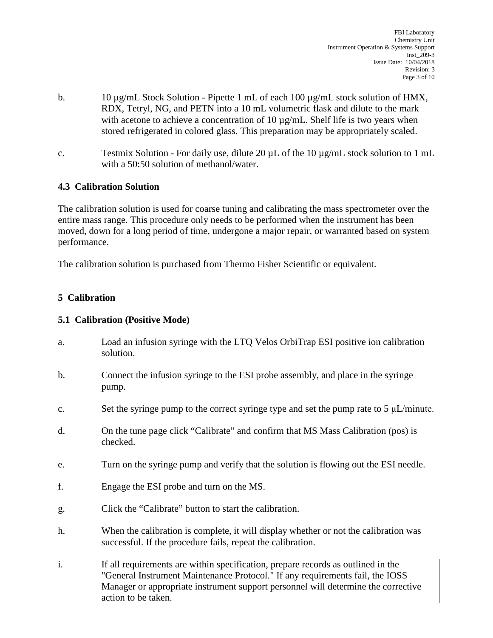- b. 10  $\mu$ g/mL Stock Solution Pipette 1 mL of each 100  $\mu$ g/mL stock solution of HMX, RDX, Tetryl, NG, and PETN into a 10 mL volumetric flask and dilute to the mark with acetone to achieve a concentration of 10  $\mu$ g/mL. Shelf life is two years when stored refrigerated in colored glass. This preparation may be appropriately scaled.
- c. Testmix Solution For daily use, dilute 20  $\mu$ L of the 10  $\mu$ g/mL stock solution to 1 mL with a 50:50 solution of methanol/water.

## **4.3 Calibration Solution**

The calibration solution is used for coarse tuning and calibrating the mass spectrometer over the entire mass range. This procedure only needs to be performed when the instrument has been moved, down for a long period of time, undergone a major repair, or warranted based on system performance.

The calibration solution is purchased from Thermo Fisher Scientific or equivalent.

# **5 Calibration**

### **5.1 Calibration (Positive Mode)**

- a. Load an infusion syringe with the LTQ Velos OrbiTrap ESI positive ion calibration solution.
- b. Connect the infusion syringe to the ESI probe assembly, and place in the syringe pump.
- c. Set the syringe pump to the correct syringe type and set the pump rate to  $5 \mu L/min$
- d. On the tune page click "Calibrate" and confirm that MS Mass Calibration (pos) is checked.
- e. Turn on the syringe pump and verify that the solution is flowing out the ESI needle.
- f. Engage the ESI probe and turn on the MS.
- g. Click the "Calibrate" button to start the calibration.
- h. When the calibration is complete, it will display whether or not the calibration was successful. If the procedure fails, repeat the calibration.
- i. If all requirements are within specification, prepare records as outlined in the "General Instrument Maintenance Protocol." If any requirements fail, the IOSS Manager or appropriate instrument support personnel will determine the corrective action to be taken.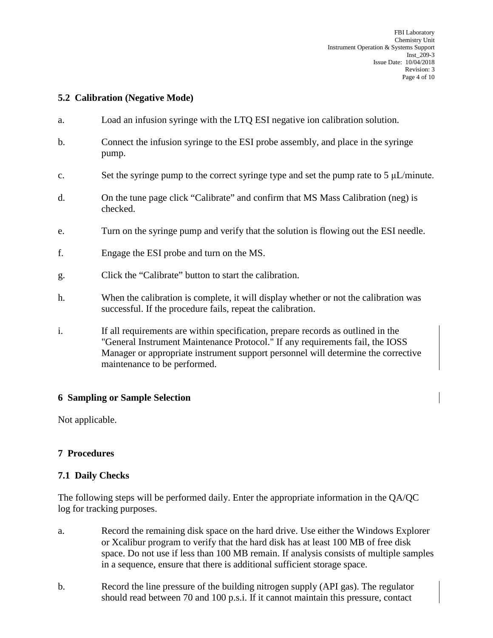## **5.2 Calibration (Negative Mode)**

- a. Load an infusion syringe with the LTQ ESI negative ion calibration solution.
- b. Connect the infusion syringe to the ESI probe assembly, and place in the syringe pump.
- c. Set the syringe pump to the correct syringe type and set the pump rate to  $5 \mu L/min$
- d. On the tune page click "Calibrate" and confirm that MS Mass Calibration (neg) is checked.
- e. Turn on the syringe pump and verify that the solution is flowing out the ESI needle.
- f. Engage the ESI probe and turn on the MS.
- g. Click the "Calibrate" button to start the calibration.
- h. When the calibration is complete, it will display whether or not the calibration was successful. If the procedure fails, repeat the calibration.
- i. If all requirements are within specification, prepare records as outlined in the "General Instrument Maintenance Protocol." If any requirements fail, the IOSS Manager or appropriate instrument support personnel will determine the corrective maintenance to be performed.

### **6 Sampling or Sample Selection**

Not applicable.

### **7 Procedures**

#### **7.1 Daily Checks**

The following steps will be performed daily. Enter the appropriate information in the QA/QC log for tracking purposes.

- a. Record the remaining disk space on the hard drive. Use either the Windows Explorer or Xcalibur program to verify that the hard disk has at least 100 MB of free disk space. Do not use if less than 100 MB remain. If analysis consists of multiple samples in a sequence, ensure that there is additional sufficient storage space.
- b. Record the line pressure of the building nitrogen supply (API gas). The regulator should read between 70 and 100 p.s.i. If it cannot maintain this pressure, contact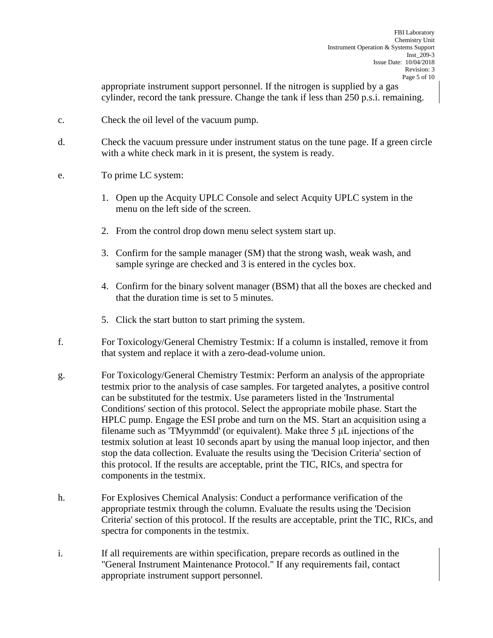appropriate instrument support personnel. If the nitrogen is supplied by a gas cylinder, record the tank pressure. Change the tank if less than 250 p.s.i. remaining.

- c. Check the oil level of the vacuum pump.
- d. Check the vacuum pressure under instrument status on the tune page. If a green circle with a white check mark in it is present, the system is ready.
- e. To prime LC system:
	- 1. Open up the Acquity UPLC Console and select Acquity UPLC system in the menu on the left side of the screen.
	- 2. From the control drop down menu select system start up.
	- 3. Confirm for the sample manager (SM) that the strong wash, weak wash, and sample syringe are checked and 3 is entered in the cycles box.
	- 4. Confirm for the binary solvent manager (BSM) that all the boxes are checked and that the duration time is set to 5 minutes.
	- 5. Click the start button to start priming the system.
- f. For Toxicology/General Chemistry Testmix: If a column is installed, remove it from that system and replace it with a zero-dead-volume union.
- g. For Toxicology/General Chemistry Testmix: Perform an analysis of the appropriate testmix prior to the analysis of case samples. For targeted analytes, a positive control can be substituted for the testmix. Use parameters listed in the 'Instrumental Conditions' section of this protocol. Select the appropriate mobile phase. Start the HPLC pump. Engage the ESI probe and turn on the MS. Start an acquisition using a filename such as 'TMyymmdd' (or equivalent). Make three 5 μL injections of the testmix solution at least 10 seconds apart by using the manual loop injector, and then stop the data collection. Evaluate the results using the 'Decision Criteria' section of this protocol. If the results are acceptable, print the TIC, RICs, and spectra for components in the testmix.
- h. For Explosives Chemical Analysis: Conduct a performance verification of the appropriate testmix through the column. Evaluate the results using the 'Decision Criteria' section of this protocol. If the results are acceptable, print the TIC, RICs, and spectra for components in the testmix.
- i. If all requirements are within specification, prepare records as outlined in the "General Instrument Maintenance Protocol." If any requirements fail, contact appropriate instrument support personnel.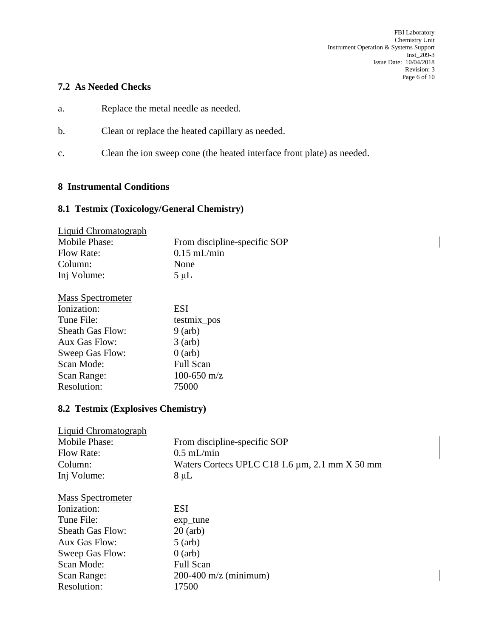## **7.2 As Needed Checks**

- a. Replace the metal needle as needed.
- b. Clean or replace the heated capillary as needed.
- c. Clean the ion sweep cone (the heated interface front plate) as needed.

### **8 Instrumental Conditions**

# **8.1 Testmix (Toxicology/General Chemistry)**

| Liquid Chromatograph |                              |
|----------------------|------------------------------|
| Mobile Phase:        | From discipline-specific SOP |
| Flow Rate:           | $0.15$ mL/min                |
| Column:              | None                         |
| Inj Volume:          | $5 \mu L$                    |

| <b>Mass Spectrometer</b> |                 |
|--------------------------|-----------------|
| Ionization:              | <b>ESI</b>      |
| Tune File:               | testmix_pos     |
| <b>Sheath Gas Flow:</b>  | $9$ (arb)       |
| Aux Gas Flow:            | $3$ (arb)       |
| Sweep Gas Flow:          | $0$ (arb)       |
| Scan Mode:               | Full Scan       |
| Scan Range:              | $100 - 650$ m/z |
| Resolution:              | 75000           |

# **8.2 Testmix (Explosives Chemistry)**

| Waters Cortecs UPLC C18 1.6 $\mu$ m, 2.1 mm X 50 mm |
|-----------------------------------------------------|
|                                                     |
|                                                     |
|                                                     |
|                                                     |
|                                                     |
|                                                     |
|                                                     |
|                                                     |
|                                                     |
|                                                     |
|                                                     |
|                                                     |
|                                                     |
|                                                     |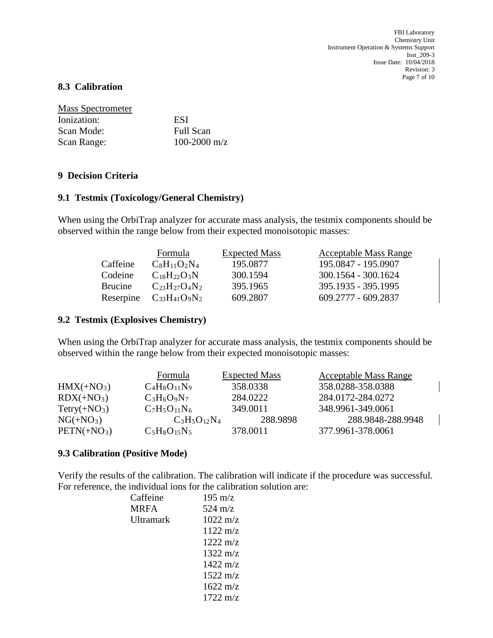FBI Laboratory Chemistry Unit Instrument Operation & Systems Support Inst\_209-3 Issue Date: 10/04/2018 Revision: 3 Page 7 of 10

### **8.3 Calibration**

| <b>Mass Spectrometer</b> |                  |
|--------------------------|------------------|
| Ionization:              | ESI              |
| Scan Mode:               | <b>Full Scan</b> |
| Scan Range:              | 100-2000 m/z     |

### **9 Decision Criteria**

### **9.1 Testmix (Toxicology/General Chemistry)**

When using the OrbiTrap analyzer for accurate mass analysis, the testmix components should be observed within the range below from their expected monoisotopic masses:

|           | Formula              | <b>Expected Mass</b> | <b>Acceptable Mass Range</b> |
|-----------|----------------------|----------------------|------------------------------|
| Caffeine  | $C_8H_{11}O_2N_4$    | 195.0877             | 195.0847 - 195.0907          |
| Codeine   | $C_{18}H_{22}O_3N$   | 300.1594             | 300.1564 - 300.1624          |
| Brucine   | $C_{23}H_{27}O_4N_2$ | 395.1965             | 395.1935 - 395.1995          |
| Reserpine | $C_{33}H_{41}O_9N_2$ | 609.2807             | $609.2777 - 609.2837$        |

### **9.2 Testmix (Explosives Chemistry)**

When using the OrbiTrap analyzer for accurate mass analysis, the testmix components should be observed within the range below from their expected monoisotopic masses:

|               | Formula           | <b>Expected Mass</b> | <b>Acceptable Mass Range</b> |
|---------------|-------------------|----------------------|------------------------------|
| $HMX(+NO3)$   | $C_4H_8O_{11}N_9$ | 358.0338             | 358.0288-358.0388            |
| $RDX(+NO3)$   | $C_3H_6O_9N_7$    | 284.0222             | 284.0172-284.0272            |
| $Tetry(+NO3)$ | $C_7H_5O_{11}N_6$ | 349.0011             | 348.9961-349.0061            |
| $NG(+NO3)$    | $C_3H_5O_{12}N_4$ | 288.9898             | 288.9848-288.9948            |
| $PETN(+NO3)$  | $C_5H_8O_{15}N_5$ | 378.0011             | 377.9961-378.0061            |

#### **9.3 Calibration (Positive Mode)**

Verify the results of the calibration. The calibration will indicate if the procedure was successful. For reference, the individual ions for the calibration solution are:

| Caffeine  | $195 \text{ m/z}$  |
|-----------|--------------------|
| MRFA      | $524 \text{ m/z}$  |
| Ultramark | $1022 \text{ m/z}$ |
|           | $1122 \text{ m/z}$ |
|           | $1222 \text{ m/z}$ |
|           | $1322 \text{ m/z}$ |
|           | $1422 \text{ m/z}$ |
|           | $1522 \text{ m/z}$ |
|           | $1622 \text{ m/z}$ |
|           | $1722 \text{ m/z}$ |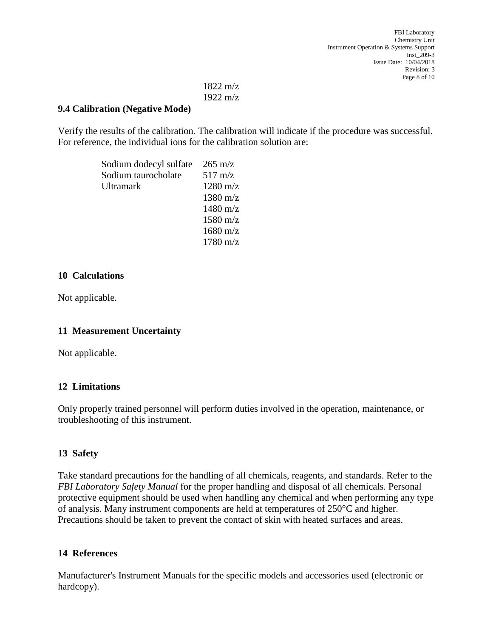# 1822 m/z 1922 m/z

## **9.4 Calibration (Negative Mode)**

Verify the results of the calibration. The calibration will indicate if the procedure was successful. For reference, the individual ions for the calibration solution are:

| Sodium dodecyl sulfate $265 \text{ m/z}$ |                    |
|------------------------------------------|--------------------|
| Sodium taurocholate                      | $517 \text{ m/z}$  |
| Ultramark                                | $1280 \text{ m/z}$ |
|                                          | $1380 \text{ m/z}$ |
|                                          | $1480 \text{ m/z}$ |
|                                          | $1580 \text{ m/z}$ |
|                                          | $1680 \text{ m/z}$ |
|                                          | $1780 \text{ m/z}$ |

## **10 Calculations**

Not applicable.

# **11 Measurement Uncertainty**

Not applicable.

### **12 Limitations**

Only properly trained personnel will perform duties involved in the operation, maintenance, or troubleshooting of this instrument.

# **13 Safety**

Take standard precautions for the handling of all chemicals, reagents, and standards. Refer to the *FBI Laboratory Safety Manual* for the proper handling and disposal of all chemicals. Personal protective equipment should be used when handling any chemical and when performing any type of analysis. Many instrument components are held at temperatures of 250°C and higher. Precautions should be taken to prevent the contact of skin with heated surfaces and areas.

### **14 References**

Manufacturer's Instrument Manuals for the specific models and accessories used (electronic or hardcopy).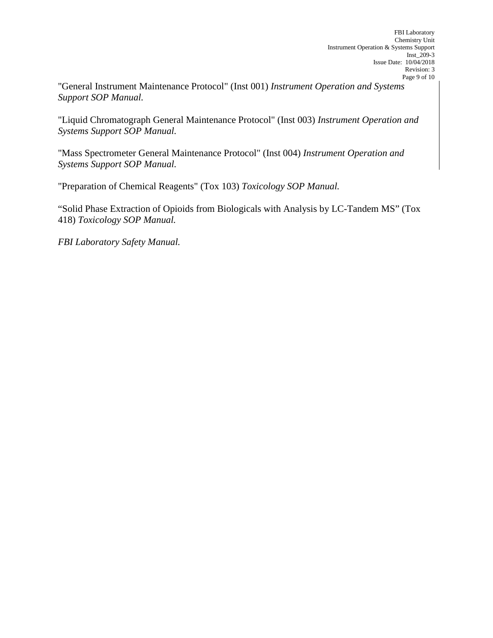"General Instrument Maintenance Protocol" (Inst 001) *Instrument Operation and Systems Support SOP Manual.*

"Liquid Chromatograph General Maintenance Protocol" (Inst 003) *Instrument Operation and Systems Support SOP Manual.*

"Mass Spectrometer General Maintenance Protocol" (Inst 004) *Instrument Operation and Systems Support SOP Manual.*

"Preparation of Chemical Reagents" (Tox 103) *Toxicology SOP Manual.*

"Solid Phase Extraction of Opioids from Biologicals with Analysis by LC-Tandem MS" (Tox 418) *Toxicology SOP Manual.*

*FBI Laboratory Safety Manual.*